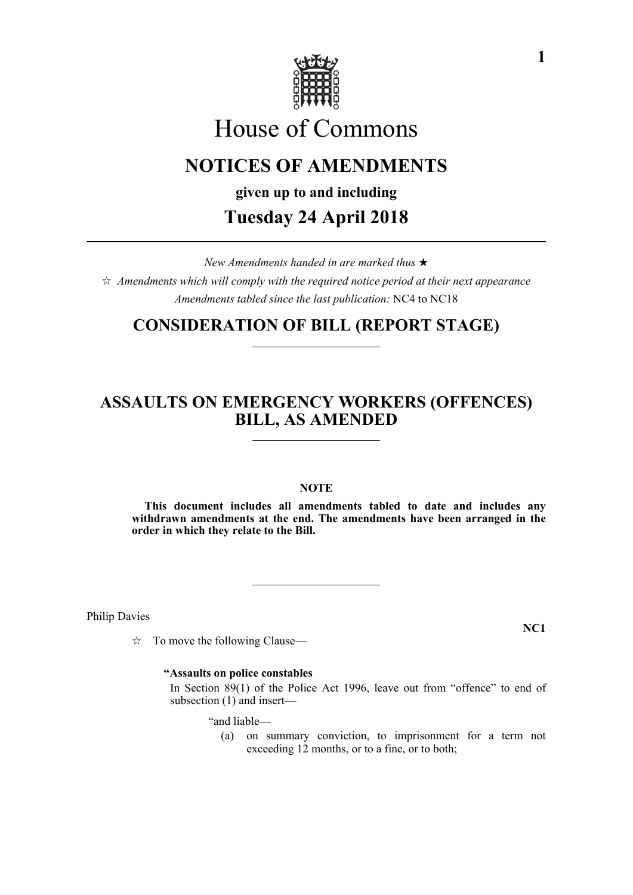

# House of Commons

# **NOTICES OF AMENDMENTS**

**given up to and including**

# **Tuesday 24 April 2018**

*New Amendments handed in are marked thus*   $\hat{\varphi}$  Amendments which will comply with the required notice period at their next appearance

*Amendments tabled since the last publication:* NC4 to NC18

# **CONSIDERATION OF BILL (REPORT STAGE)**

# **ASSAULTS ON EMERGENCY WORKERS (OFFENCES) BILL, AS AMENDED**

# **NOTE**

**This document includes all amendments tabled to date and includes any withdrawn amendments at the end. The amendments have been arranged in the order in which they relate to the Bill.**

Philip Davies

 $\vec{\mathcal{R}}$  To move the following Clause—

# **"Assaults on police constables**

 In Section 89(1) of the Police Act 1996, leave out from "offence" to end of subsection (1) and insert—

"and liable—

(a) on summary conviction, to imprisonment for a term not exceeding 12 months, or to a fine, or to both;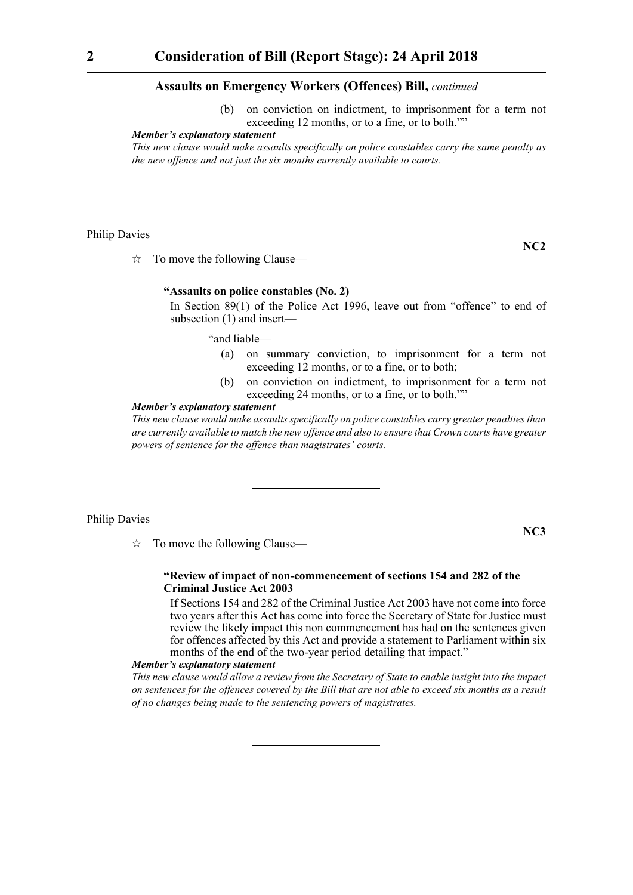(b) on conviction on indictment, to imprisonment for a term not exceeding 12 months, or to a fine, or to both.""

# *Member's explanatory statement*

*This new clause would make assaults specifically on police constables carry the same penalty as the new offence and not just the six months currently available to courts.*

Philip Davies

 $\vec{\mathcal{R}}$  To move the following Clause—

#### **"Assaults on police constables (No. 2)**

 In Section 89(1) of the Police Act 1996, leave out from "offence" to end of subsection (1) and insert—

"and liable—

- (a) on summary conviction, to imprisonment for a term not exceeding 12 months, or to a fine, or to both;
- (b) on conviction on indictment, to imprisonment for a term not exceeding 24 months, or to a fine, or to both.""

#### *Member's explanatory statement*

*This new clause would make assaults specifically on police constables carry greater penalties than are currently available to match the new offence and also to ensure that Crown courts have greater powers of sentence for the offence than magistrates' courts.*

#### Philip Davies

**NC3**

**NC2**

 $\vec{\mathcal{R}}$  To move the following Clause—

# **"Review of impact of non-commencement of sections 154 and 282 of the Criminal Justice Act 2003**

 If Sections 154 and 282 of the Criminal Justice Act 2003 have not come into force two years after this Act has come into force the Secretary of State for Justice must review the likely impact this non commencement has had on the sentences given for offences affected by this Act and provide a statement to Parliament within six months of the end of the two-year period detailing that impact."

#### *Member's explanatory statement*

*This new clause would allow a review from the Secretary of State to enable insight into the impact on sentences for the offences covered by the Bill that are not able to exceed six months as a result of no changes being made to the sentencing powers of magistrates.*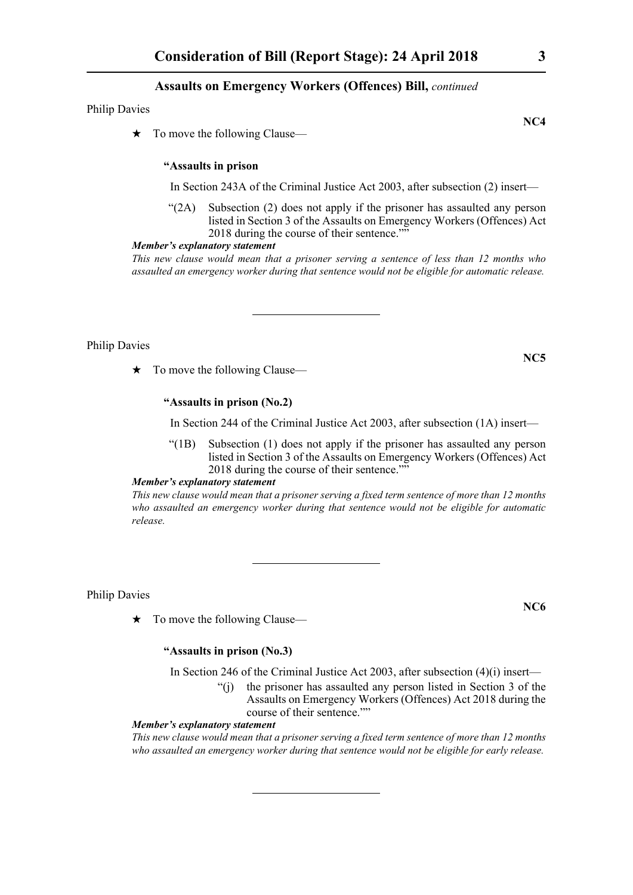Philip Davies

 $\star$  To move the following Clause—

# **"Assaults in prison**

In Section 243A of the Criminal Justice Act 2003, after subsection (2) insert—

"(2A) Subsection (2) does not apply if the prisoner has assaulted any person listed in Section 3 of the Assaults on Emergency Workers (Offences) Act 2018 during the course of their sentence.""

# *Member's explanatory statement*

*This new clause would mean that a prisoner serving a sentence of less than 12 months who assaulted an emergency worker during that sentence would not be eligible for automatic release.*

Philip Davies

 $\star$  To move the following Clause—

# **"Assaults in prison (No.2)**

In Section 244 of the Criminal Justice Act 2003, after subsection (1A) insert—

"(1B) Subsection (1) does not apply if the prisoner has assaulted any person listed in Section 3 of the Assaults on Emergency Workers (Offences) Act 2018 during the course of their sentence.""

*Member's explanatory statement* 

*This new clause would mean that a prisoner serving a fixed term sentence of more than 12 months who assaulted an emergency worker during that sentence would not be eligible for automatic release.*

Philip Davies

 $\star$  To move the following Clause—

# **"Assaults in prison (No.3)**

In Section 246 of the Criminal Justice Act 2003, after subsection (4)(i) insert—

"(j) the prisoner has assaulted any person listed in Section 3 of the Assaults on Emergency Workers (Offences) Act 2018 during the course of their sentence.""

# *Member's explanatory statement*

*This new clause would mean that a prisoner serving a fixed term sentence of more than 12 months who assaulted an emergency worker during that sentence would not be eligible for early release.*

**NC4**

**NC5**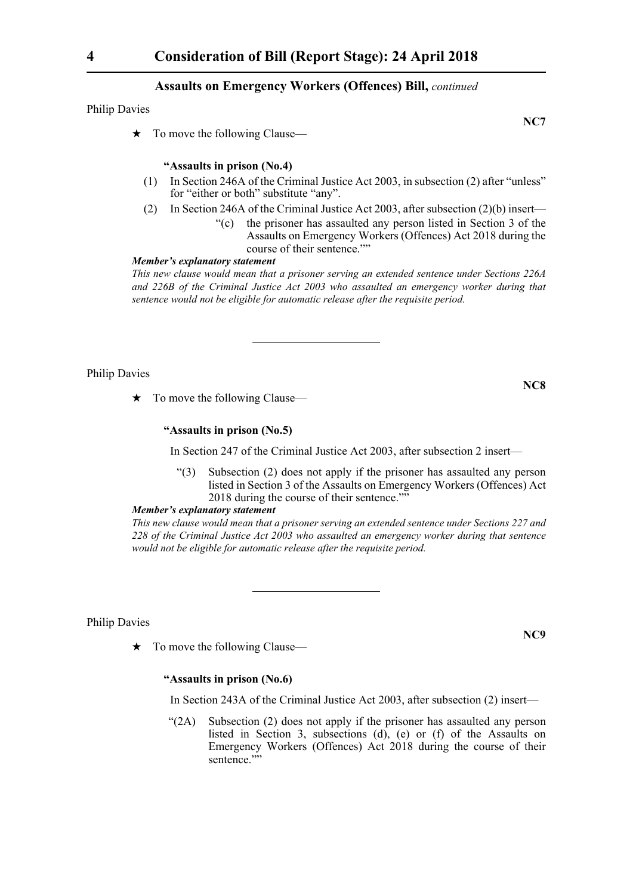Philip Davies

 $\star$  To move the following Clause—

# **"Assaults in prison (No.4)**

- (1) In Section 246A of the Criminal Justice Act 2003, in subsection (2) after "unless" for "either or both" substitute "any".
- (2) In Section 246A of the Criminal Justice Act 2003, after subsection (2)(b) insert—
	- "(c) the prisoner has assaulted any person listed in Section 3 of the Assaults on Emergency Workers (Offences) Act 2018 during the course of their sentence.""

# *Member's explanatory statement*

*This new clause would mean that a prisoner serving an extended sentence under Sections 226A and 226B of the Criminal Justice Act 2003 who assaulted an emergency worker during that sentence would not be eligible for automatic release after the requisite period.*

Philip Davies

 $\star$  To move the following Clause—

# **"Assaults in prison (No.5)**

In Section 247 of the Criminal Justice Act 2003, after subsection 2 insert—

"(3) Subsection (2) does not apply if the prisoner has assaulted any person listed in Section 3 of the Assaults on Emergency Workers (Offences) Act 2018 during the course of their sentence.""

#### *Member's explanatory statement*

*This new clause would mean that a prisoner serving an extended sentence under Sections 227 and 228 of the Criminal Justice Act 2003 who assaulted an emergency worker during that sentence would not be eligible for automatic release after the requisite period.*

Philip Davies

 $\star$  To move the following Clause—

# **"Assaults in prison (No.6)**

In Section 243A of the Criminal Justice Act 2003, after subsection (2) insert—

"(2A) Subsection (2) does not apply if the prisoner has assaulted any person listed in Section 3, subsections (d), (e) or (f) of the Assaults on Emergency Workers (Offences) Act 2018 during the course of their sentence.""

**NC8**

**NC9**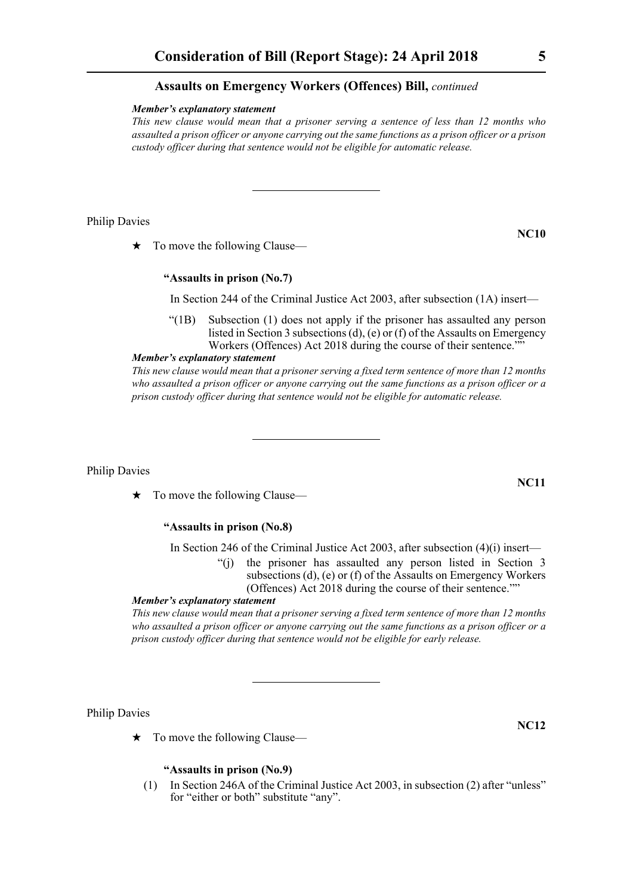#### *Member's explanatory statement*

*This new clause would mean that a prisoner serving a sentence of less than 12 months who assaulted a prison officer or anyone carrying out the same functions as a prison officer or a prison custody officer during that sentence would not be eligible for automatic release.*

Philip Davies

 $\star$  To move the following Clause—

# **"Assaults in prison (No.7)**

In Section 244 of the Criminal Justice Act 2003, after subsection (1A) insert—

"(1B) Subsection (1) does not apply if the prisoner has assaulted any person listed in Section 3 subsections (d), (e) or (f) of the Assaults on Emergency Workers (Offences) Act 2018 during the course of their sentence.""

#### *Member's explanatory statement*

*This new clause would mean that a prisoner serving a fixed term sentence of more than 12 months who assaulted a prison officer or anyone carrying out the same functions as a prison officer or a prison custody officer during that sentence would not be eligible for automatic release.*

Philip Davies

 $\star$  To move the following Clause—

# **"Assaults in prison (No.8)**

In Section 246 of the Criminal Justice Act 2003, after subsection (4)(i) insert—

the prisoner has assaulted any person listed in Section 3 subsections (d), (e) or (f) of the Assaults on Emergency Workers (Offences) Act 2018 during the course of their sentence.""

#### *Member's explanatory statement*

*This new clause would mean that a prisoner serving a fixed term sentence of more than 12 months who assaulted a prison officer or anyone carrying out the same functions as a prison officer or a prison custody officer during that sentence would not be eligible for early release.*

Philip Davies

 $\star$  To move the following Clause—

# **"Assaults in prison (No.9)**

(1) In Section 246A of the Criminal Justice Act 2003, in subsection (2) after "unless" for "either or both" substitute "any".

**NC11**

**NC12**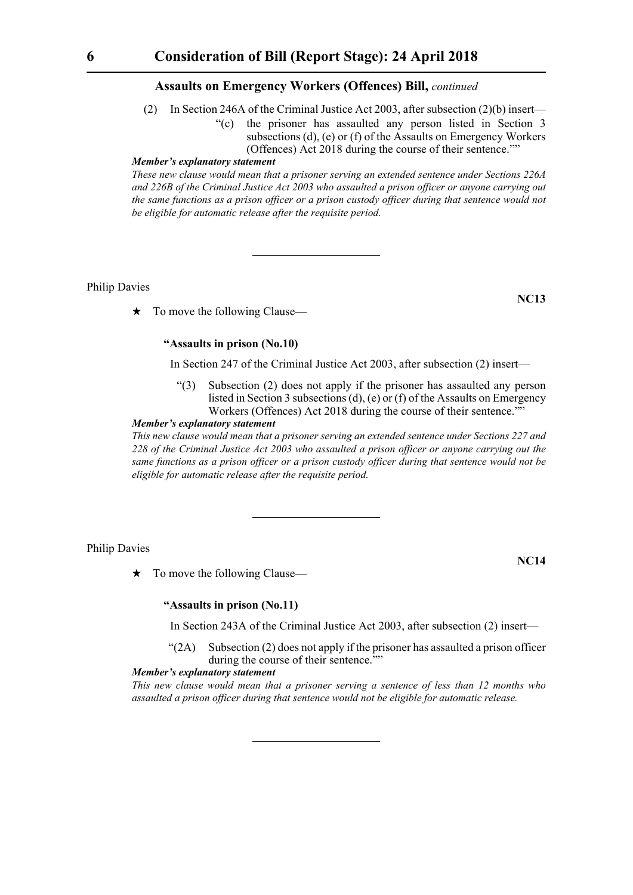- (2) In Section 246A of the Criminal Justice Act 2003, after subsection (2)(b) insert—
	- "(c) the prisoner has assaulted any person listed in Section 3 subsections (d), (e) or (f) of the Assaults on Emergency Workers (Offences) Act 2018 during the course of their sentence.""

#### *Member's explanatory statement*

*These new clause would mean that a prisoner serving an extended sentence under Sections 226A and 226B of the Criminal Justice Act 2003 who assaulted a prison officer or anyone carrying out the same functions as a prison officer or a prison custody officer during that sentence would not be eligible for automatic release after the requisite period.*

Philip Davies

 $\star$  To move the following Clause—

# **"Assaults in prison (No.10)**

In Section 247 of the Criminal Justice Act 2003, after subsection (2) insert—

"(3) Subsection (2) does not apply if the prisoner has assaulted any person listed in Section 3 subsections (d), (e) or (f) of the Assaults on Emergency Workers (Offences) Act 2018 during the course of their sentence.""

# *Member's explanatory statement*

*This new clause would mean that a prisoner serving an extended sentence under Sections 227 and 228 of the Criminal Justice Act 2003 who assaulted a prison officer or anyone carrying out the same functions as a prison officer or a prison custody officer during that sentence would not be eligible for automatic release after the requisite period.*

#### Philip Davies

 $\star$  To move the following Clause—

**NC14**

#### **"Assaults in prison (No.11)**

In Section 243A of the Criminal Justice Act 2003, after subsection (2) insert—

 $\mathcal{L}(2A)$  Subsection (2) does not apply if the prisoner has assaulted a prison officer during the course of their sentence.""

# *Member's explanatory statement*

*This new clause would mean that a prisoner serving a sentence of less than 12 months who assaulted a prison officer during that sentence would not be eligible for automatic release.*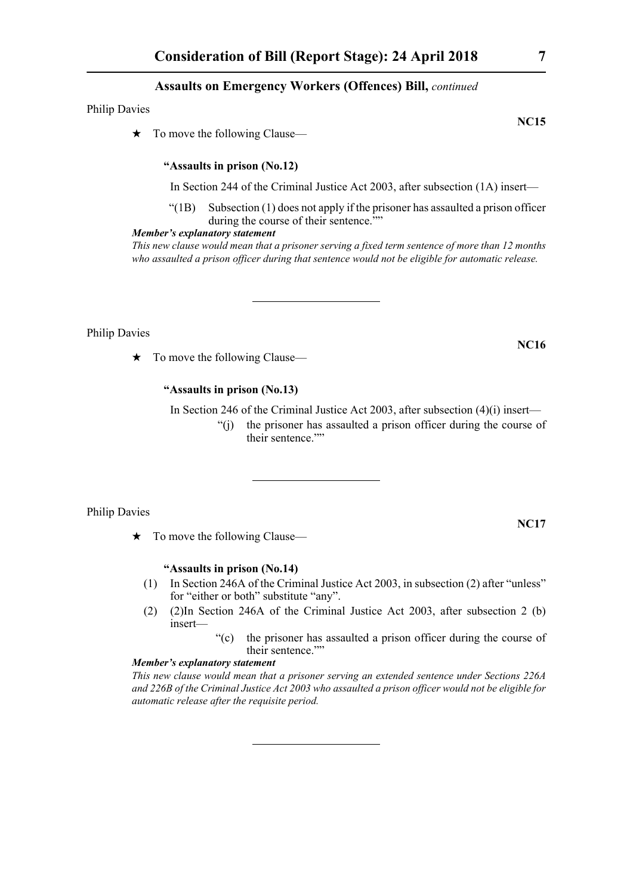Philip Davies

 $\star$  To move the following Clause—

## **"Assaults in prison (No.12)**

In Section 244 of the Criminal Justice Act 2003, after subsection (1A) insert—

 $\degree$ (1B) Subsection (1) does not apply if the prisoner has assaulted a prison officer during the course of their sentence.""

#### *Member's explanatory statement*

*This new clause would mean that a prisoner serving a fixed term sentence of more than 12 months who assaulted a prison officer during that sentence would not be eligible for automatic release.*

Philip Davies

 $\star$  To move the following Clause—

# **"Assaults in prison (No.13)**

In Section 246 of the Criminal Justice Act 2003, after subsection (4)(i) insert—

"(j) the prisoner has assaulted a prison officer during the course of their sentence.""

Philip Davies

 $\star$  To move the following Clause—

# **"Assaults in prison (No.14)**

- (1) In Section 246A of the Criminal Justice Act 2003, in subsection (2) after "unless" for "either or both" substitute "any".
- (2) (2)In Section 246A of the Criminal Justice Act 2003, after subsection 2 (b) insert—
	- "(c) the prisoner has assaulted a prison officer during the course of their sentence.""

# *Member's explanatory statement*

*This new clause would mean that a prisoner serving an extended sentence under Sections 226A and 226B of the Criminal Justice Act 2003 who assaulted a prison officer would not be eligible for automatic release after the requisite period.*

**NC15**

**NC17**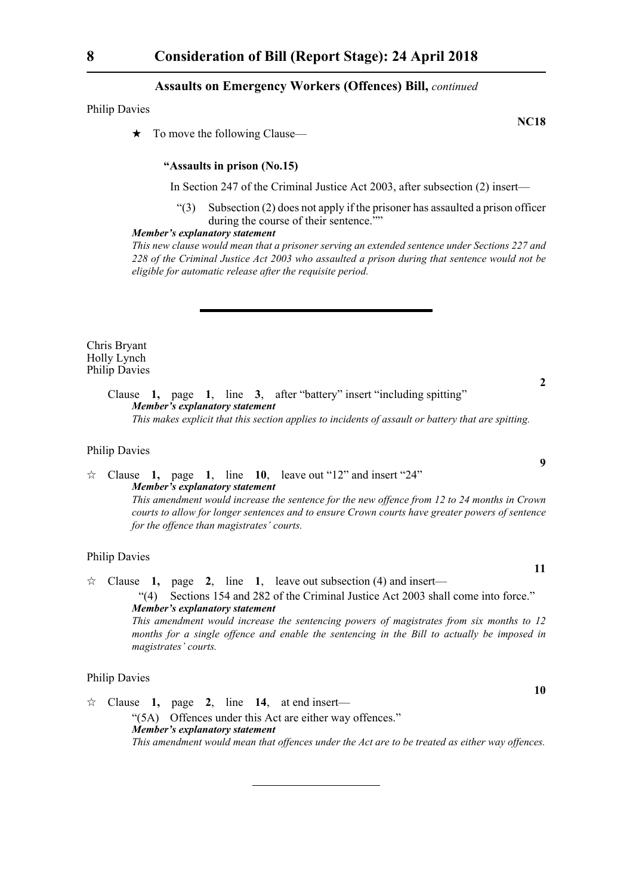Philip Davies

 $\star$  To move the following Clause—

# **"Assaults in prison (No.15)**

In Section 247 of the Criminal Justice Act 2003, after subsection (2) insert—

"(3) Subsection (2) does not apply if the prisoner has assaulted a prison officer during the course of their sentence.""

#### *Member's explanatory statement*

*This new clause would mean that a prisoner serving an extended sentence under Sections 227 and 228 of the Criminal Justice Act 2003 who assaulted a prison during that sentence would not be eligible for automatic release after the requisite period.*

Chris Bryant Holly Lynch Philip Davies

**2**

**9**

**11**

**10**

Clause **1,** page **1**, line **3**, after "battery" insert "including spitting" *Member's explanatory statement This makes explicit that this section applies to incidents of assault or battery that are spitting.*

#### Philip Davies

 $\approx$  Clause **1**, page **1**, line **10**, leave out "12" and insert "24" *Member's explanatory statement This amendment would increase the sentence for the new offence from 12 to 24 months in Crown courts to allow for longer sentences and to ensure Crown courts have greater powers of sentence for the offence than magistrates' courts.* 

#### Philip Davies

 $\approx$  Clause **1,** page **2**, line **1**, leave out subsection (4) and insert— "(4) Sections 154 and 282 of the Criminal Justice Act 2003 shall come into force." *Member's explanatory statement This amendment would increase the sentencing powers of magistrates from six months to 12 months for a single offence and enable the sentencing in the Bill to actually be imposed in magistrates' courts.*

# Philip Davies

 Clause **1,** page **2**, line **14**, at end insert— "(5A) Offences under this Act are either way offences." *Member's explanatory statement This amendment would mean that offences under the Act are to be treated as either way offences.*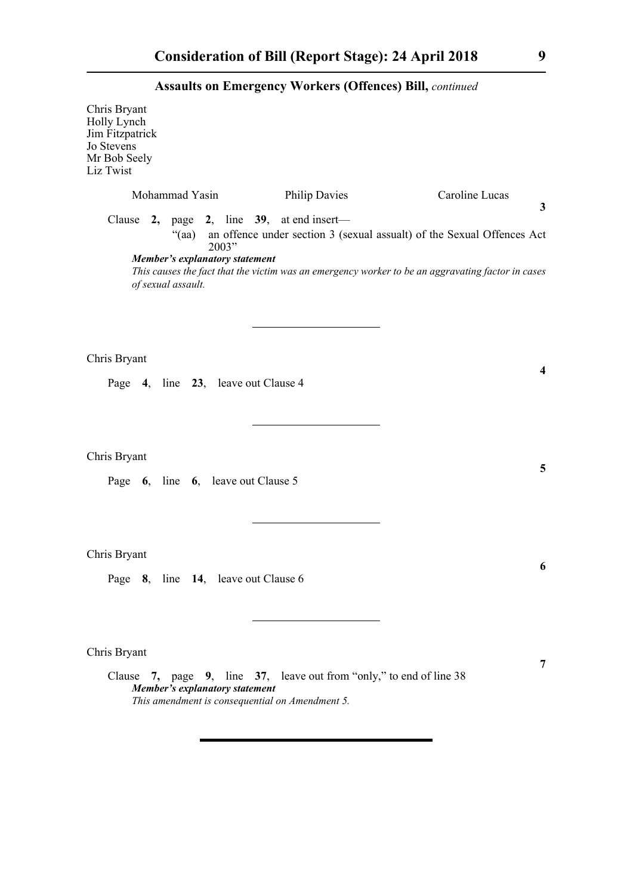| Chris Bryant<br>Holly Lynch<br>Jim Fitzpatrick<br>Jo Stevens<br>Mr Bob Seely<br>Liz Twist |                                                                                        |                                                                                                                        |                                                                                                                                                                                                    |
|-------------------------------------------------------------------------------------------|----------------------------------------------------------------------------------------|------------------------------------------------------------------------------------------------------------------------|----------------------------------------------------------------------------------------------------------------------------------------------------------------------------------------------------|
|                                                                                           | Mohammad Yasin<br>$\cdot$ (aa)<br>Member's explanatory statement<br>of sexual assault. | <b>Philip Davies</b><br>Clause 2, page 2, line $39$ , at end insert—<br>2003"                                          | Caroline Lucas<br>3<br>an offence under section 3 (sexual assualt) of the Sexual Offences Act<br>This causes the fact that the victim was an emergency worker to be an aggravating factor in cases |
| Chris Bryant                                                                              |                                                                                        | Page 4, line 23, leave out Clause 4                                                                                    | 4                                                                                                                                                                                                  |
| Chris Bryant                                                                              | Page 6, line 6, leave out Clause 5                                                     |                                                                                                                        | 5                                                                                                                                                                                                  |
| Chris Bryant                                                                              |                                                                                        | Page 8, line 14, leave out Clause 6                                                                                    | 6                                                                                                                                                                                                  |
| Chris Bryant                                                                              | Member's explanatory statement                                                         | Clause 7, page 9, line 37, leave out from "only," to end of line 38<br>This amendment is consequential on Amendment 5. | 7                                                                                                                                                                                                  |